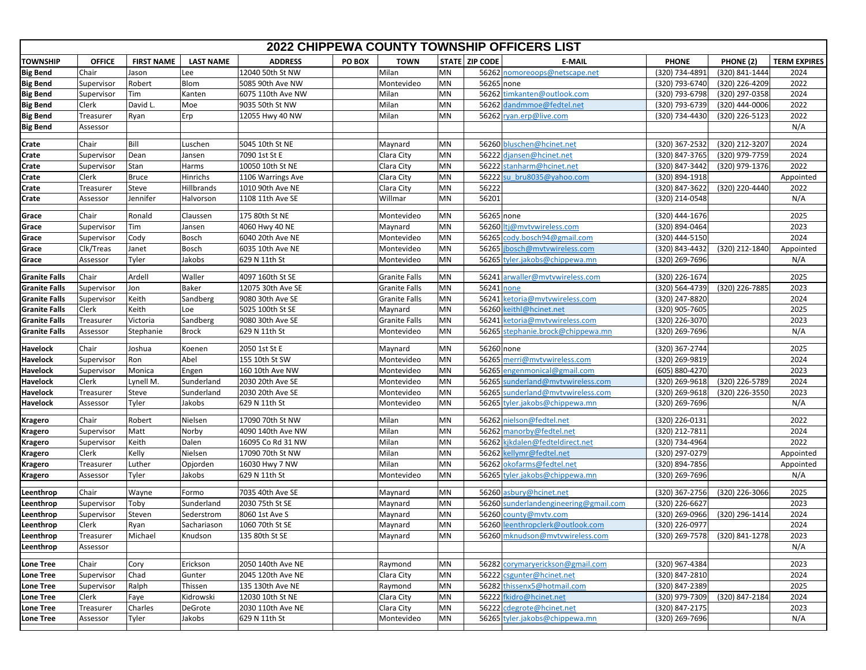| 2022 CHIPPEWA COUNTY TOWNSHIP OFFICERS LIST |               |                   |                   |                   |        |                      |           |                  |                                       |                |                |                     |
|---------------------------------------------|---------------|-------------------|-------------------|-------------------|--------|----------------------|-----------|------------------|---------------------------------------|----------------|----------------|---------------------|
| <b>TOWNSHIP</b>                             | <b>OFFICE</b> | <b>FIRST NAME</b> | <b>LAST NAME</b>  | <b>ADDRESS</b>    | PO BOX | <b>TOWN</b>          |           | STATE   ZIP CODE | <b>E-MAIL</b>                         | <b>PHONE</b>   | PHONE (2)      | <b>TERM EXPIRES</b> |
| <b>Big Bend</b>                             | Chair         | Jason             | Lee               | 12040 50th St NW  |        | Milan                | MN        |                  | 56262 nomoreoops@netscape.net         | (320) 734-4891 | (320) 841-1444 | 2024                |
| <b>Big Bend</b>                             | Supervisor    | Robert            | <b>Blom</b>       | 5085 90th Ave NW  |        | Montevideo           | ΜN        | 56265 none       |                                       | (320) 793-6740 | (320) 226-4209 | 2022                |
| <b>Big Bend</b>                             | Supervisor    | Tim               | Kanten            | 6075 110th Ave NW |        | Milan                | MN        | 56262            | timkanten@outlook.com                 | (320) 793-6798 | (320) 297-0358 | 2024                |
| <b>Big Bend</b>                             | Clerk         | David L           | Moe               | 9035 50th St NW   |        | Milan                | ΜN        | 56262            | dandmmoe@fedtel.net                   | (320) 793-6739 | (320) 444-0006 | 2022                |
| <b>Big Bend</b>                             | Treasurer     | Ryan              | Erp               | 12055 Hwy 40 NW   |        | Milan                | MN        |                  | 56262 ryan.erp@live.com               | (320) 734-4430 | (320) 226-5123 | 2022                |
| <b>Big Bend</b>                             | Assessor      |                   |                   |                   |        |                      |           |                  |                                       |                |                | N/A                 |
| Crate                                       | Chair         | Bill              | Luschen           | 5045 10th St NE   |        | Maynard              | ΜN        |                  | 56260 bluschen@hcinet.net             | (320) 367-2532 | (320) 212-3207 | 2024                |
| Crate                                       | Supervisor    | Dean              | Jansen            | 7090 1st St E     |        | Clara City           | ΜN        | 56222            | djansen@hcinet.net                    | (320) 847-3765 | (320) 979-7759 | 2024                |
| Crate                                       | Supervisor    | Stan              | Harms             | 10050 10th St NE  |        | Clara City           | ΜN        | 56222            | stanharm@hcinet.net                   | (320) 847-3442 | (320) 979-1376 | 2022                |
| Crate                                       | Clerk         | <b>Bruce</b>      | Hinrichs          | 1106 Warrings Ave |        | Clara City           | MN        | 56222            | su bru8035@yahoo.com                  | (320) 894-1918 |                | Appointed           |
| Crate                                       | Treasurer     | Steve             | <b>Hillbrands</b> | 1010 90th Ave NE  |        | Clara City           | MN        | 56222            |                                       | (320) 847-3622 | (320) 220-4440 | 2022                |
| Crate                                       | Assessor      | Jennifer          | Halvorson         | 1108 11th Ave SE  |        | Willmar              | MN        | 56201            |                                       | (320) 214-0548 |                | N/A                 |
| Grace                                       | Chair         | Ronald            | Claussen          | 175 80th St NE    |        | Montevideo           | ΜN        | 56265 none       |                                       | (320) 444-1676 |                | 2025                |
| Grace                                       | Supervisor    | Tim               | Jansen            | 4060 Hwy 40 NE    |        | Maynard              | ΜN        |                  | 56260 Itj@mvtvwireless.com            | (320) 894-0464 |                | 2023                |
| Grace                                       | Supervisor    | Cody              | <b>Bosch</b>      | 6040 20th Ave NE  |        | Montevideo           | MN        | 56265            | cody.bosch94@gmail.com                | (320) 444-5150 |                | 2024                |
| Grace                                       | Clk/Treas     | Janet             | <b>Bosch</b>      | 6035 10th Ave NE  |        | Montevideo           | MN        |                  | 56265 jbosch@mvtvwireless.com         | (320) 843-4432 | (320) 212-1840 | Appointed           |
| Grace                                       | Assessor      | Tyler             | Jakobs            | 629 N 11th St     |        | Montevideo           | ΜN        |                  | 56265 tyler.jakobs@chippewa.mn        | (320) 269-7696 |                | N/A                 |
| <b>Granite Falls</b>                        | Chair         | Ardell            | Waller            | 4097 160th St SE  |        | <b>Granite Falls</b> | MN        | 56241            | arwaller@mvtvwireless.com             | (320) 226-1674 |                | 2025                |
| <b>Granite Falls</b>                        | Supervisor    | Jon               | <b>Baker</b>      | 12075 30th Ave SE |        | <b>Granite Falls</b> | ΜN        | 56241 none       |                                       | (320) 564-4739 | (320) 226-7885 | 2023                |
| <b>Granite Falls</b>                        | Supervisor    | Keith             | Sandberg          | 9080 30th Ave SE  |        | <b>Granite Falls</b> | ΜN        | 56241            | ketoria@mvtvwireless.com              | (320) 247-8820 |                | 2024                |
| <b>Granite Falls</b>                        | Clerk         | Keith             | Loe               | 5025 100th St SE  |        | Maynard              | MN        | 56260            | keithl@hcinet.net                     | (320) 905-7605 |                | 2025                |
| <b>Granite Falls</b>                        | Treasurer     | Victoria          | Sandberg          | 9080 30th Ave SE  |        | <b>Granite Falls</b> | ΜN        | 56241            | ketoria@mvtvwireless.com              | (320) 226-3070 |                | 2023                |
| <b>Granite Falls</b>                        | Assessor      | Stephanie         | <b>Brock</b>      | 629 N 11th St     |        | Montevideo           | ΜN        |                  | 56265 stephanie.brock@chippewa.mn     | (320) 269-7696 |                | N/A                 |
| <b>Havelock</b>                             | Chair         | Joshua            | Koenen            | 2050 1st St E     |        | Maynard              | MN        | 56260 none       |                                       | (320) 367-2744 |                | 2025                |
| Havelock                                    | Supervisor    | Ron               | Abel              | 155 10th St SW    |        | Montevideo           | ΜN        |                  | 56265 merri@mvtvwireless.com          | (320) 269-9819 |                | 2024                |
| <b>Havelock</b>                             | Supervisor    | Monica            | Engen             | 160 10th Ave NW   |        | Montevideo           | ΜN        | 56265            | engenmonical@gmail.com                | (605) 880-4270 |                | 2023                |
| <b>Havelock</b>                             | Clerk         | Lynell M.         | Sunderland        | 2030 20th Ave SE  |        | Montevideo           | MN        | 56265            | sunderland@mvtvwireless.com           | (320) 269-9618 | (320) 226-5789 | 2024                |
| <b>Havelock</b>                             | Treasurer     | Steve             | Sunderland        | 2030 20th Ave SE  |        | Montevideo           | ΜN        | 56265            | sunderland@mvtvwireless.com           | (320) 269-9618 | (320) 226-3550 | 2023                |
| <b>Havelock</b>                             | Assessor      | Tyler             | Jakobs            | 629 N 11th St     |        | Montevideo           | ΜN        |                  | 56265 tyler.jakobs@chippewa.mn        | (320) 269-7696 |                | N/A                 |
| <b>Kragero</b>                              | Chair         | Robert            | Nielsen           | 17090 70th St NW  |        | Milan                | MN        | 56262            | nielson@fedtel.net                    | (320) 226-0131 |                | 2022                |
| <b>Kragero</b>                              | Supervisor    | Matt              | Norby             | 4090 140th Ave NW |        | Milan                | MN        |                  | 56262 manorby@fedtel.net              | (320) 212-7811 |                | 2024                |
| <b>Kragero</b>                              | Supervisor    | Keith             | Dalen             | 16095 Co Rd 31 NW |        | Milan                | MN        | 56262            | kjkdalen@fedteldirect.net             | (320) 734-4964 |                | 2022                |
| <b>Kragero</b>                              | Clerk         | Kelly             | Nielsen           | 17090 70th St NW  |        | Milan                | MN        | 56262            | kellymr@fedtel.net                    | (320) 297-0279 |                | Appointed           |
| <b>Kragero</b>                              | Treasurer     | Luther            | Opjorden          | 16030 Hwy 7 NW    |        | Milan                | MN        |                  | 56262 okofarms@fedtel.net             | (320) 894-7856 |                | Appointed           |
| <b>Kragero</b>                              | Assessor      | Tyler             | Jakobs            | 629 N 11th St     |        | Montevideo           | ΜN        |                  | 56265 tyler.jakobs@chippewa.mn        | (320) 269-7696 |                | N/A                 |
| Leenthrop                                   | Chair         | Wayne             | Formo             | 7035 40th Ave SE  |        | Maynard              | ΜN        |                  | 56260 asbury@hcinet.net               | (320) 367-2756 | (320) 226-3066 | 2025                |
| Leenthrop                                   | Supervisor    | Toby              | Sunderland        | 2030 75th St SE   |        | Maynard              | ΜN        |                  | 56260 sunderlandengineering@gmail.com | (320) 226-6627 |                | 2023                |
| Leenthrop                                   | Supervisor    | Steven            | Sederstrom        | 8060 1st Ave S    |        | Maynard              | MN        |                  | 56260 county@mvtv.com                 | (320) 269-0966 | (320) 296-1414 | 2024                |
| Leenthrop                                   | Clerk         | Ryan              | Sachariason       | 1060 70th St SE   |        | Maynard              | <b>MN</b> |                  | 56260 leenthropclerk@outlook.com      | (320) 226-0977 |                | 2024                |
| Leenthrop                                   | Treasurer     | Michael           | Knudson           | 135 80th St SE    |        | Maynard              | MN        |                  | 56260 mknudson@mvtvwireless.com       | (320) 269-7578 | (320) 841-1278 | 2023                |
| Leenthrop                                   | Assessor      |                   |                   |                   |        |                      |           |                  |                                       |                |                | N/A                 |
| <b>Lone Tree</b>                            | Chair         | Cory              | Erickson          | 2050 140th Ave NE |        | Raymond              | MN        |                  | 56282 corymaryerickson@gmail.com      | (320) 967-4384 |                | 2023                |
| <b>Lone Tree</b>                            | Supervisor    | Chad              | Gunter            | 2045 120th Ave NE |        | Clara City           | MN        |                  | 56222 csgunter@hcinet.net             | (320) 847-2810 |                | 2024                |
| <b>Lone Tree</b>                            | Supervisor    | Ralph             | Thissen           | 135 130th Ave NE  |        | Raymond              | ΜN        |                  | 56282 thissenx5@hotmail.com           | (320) 847-2389 |                | 2025                |
| <b>Lone Tree</b>                            | Clerk         | Faye              | Kidrowski         | 12030 10th St NE  |        | Clara City           | MN        |                  | 56222 fkidro@hcinet.net               | (320) 979-7309 | (320) 847-2184 | 2024                |
| <b>Lone Tree</b>                            | Treasurer     | Charles           | DeGrote           | 2030 110th Ave NE |        | Clara City           | MN        |                  | 56222 cdegrote@hcinet.net             | (320) 847-2175 |                | 2023                |
| Lone Tree                                   | Assessor      | Tyler             | Jakobs            | 629 N 11th St     |        | Montevideo           | ΜN        |                  | 56265 tyler.jakobs@chippewa.mn        | (320) 269-7696 |                | N/A                 |
|                                             |               |                   |                   |                   |        |                      |           |                  |                                       |                |                |                     |